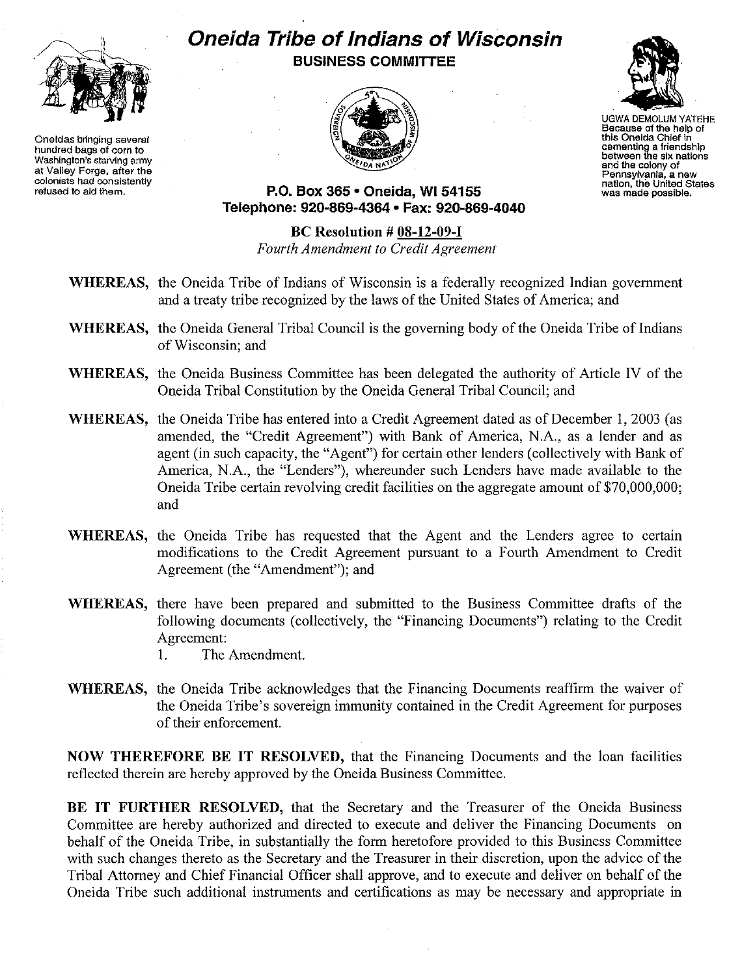

**Oneidas bringing several hundred bags of corn to Washington's starving army at Valley Forge, after the colonists had consistently refused to aid them.**

## **Oneida Tribe of Indians of Wisconsin BUSINESS COMMITTEE**





UGWADEMOLUM YATEHE **Because of the help of this Oneida Chief in cementing a friendship between the six nations and the colony of Pennsylvania, a new nation, the United States was made possible.**

**P.O. Box 365· Oneida,** WI 54155 Telephone: **920-869-4364 • Fax: 920-869-4040**

**Be Resolution # 08-12-09-1** *Fourth Amendment to Credit Agreement*

- **WHEREAS,** the Oneida Tribe of Indians of Wisconsin is a federally recognized Indian government and a treaty tribe recognized by the laws of the United States of America; and
- **WHEREAS,** the Oneida General Tribal Council is the governing body of the Oneida Tribe of Indians of Wisconsin; and
- **WHEREAS,** the Oneida Business Committee has been delegated the authority of Article IV of the Oneida Tribal Constitution by the Oneida General Tribal Council; and
- **WHEREAS,** the Oneida Tribe has entered into a Credit Agreement dated as of December 1,2003 (as amended, the "Credit Agreement") with Bank of America, N.A., as a lender and as agent (in such capacity, the "Agent") for certain other lenders (collectively with Bank of America, N.A., the "Lenders"), whereunder such Lenders have made available to the Oneida Tribe certain revolving credit facilities on the aggregate amount of \$70,000,000; and
- **WHEREAS,** the Oneida Tribe has requested that the Agent and the Lenders agree to certain modifications to the Credit Agreement pursuant to a Fourth Amendment to Credit Agreement (the "Amendment"); and
- **WHEREAS,** there have been prepared and submitted to the Business Committee drafts of the following documents (collectively, the "Financing Documents") relating to the Credit Agreement:
	- I. The Amendment.
- **WHEREAS,** the Oneida Tribe acknowledges that the Financing Documents reaffirm the waiver of the Oneida Tribe's sovereign immunity contained in the Credit Agreement for purposes of their enforcement.

**NOW THEREFORE BE IT RESOLVED,** that the Financing Documents and the loan facilities reflected therein are hereby approved by the Oneida Business Committee.

**BE IT FURTHER RESOLVED,** that the Secretary and the Treasurer of the Oneida Business Committee are hereby authorized and directed to execute and deliver the Financing Documents on behalf of the Oneida Tribe, in substantially the form heretofore provided to this Business Committee with such changes thereto as the Secretary and the Treasurer in their discretion, upon the advice of the Tribal Attorney and Chief Financial Officer shall approve, and to execute and deliver on behalf of the Oneida Tribe such additional instruments and certifications as may be necessary and appropriate in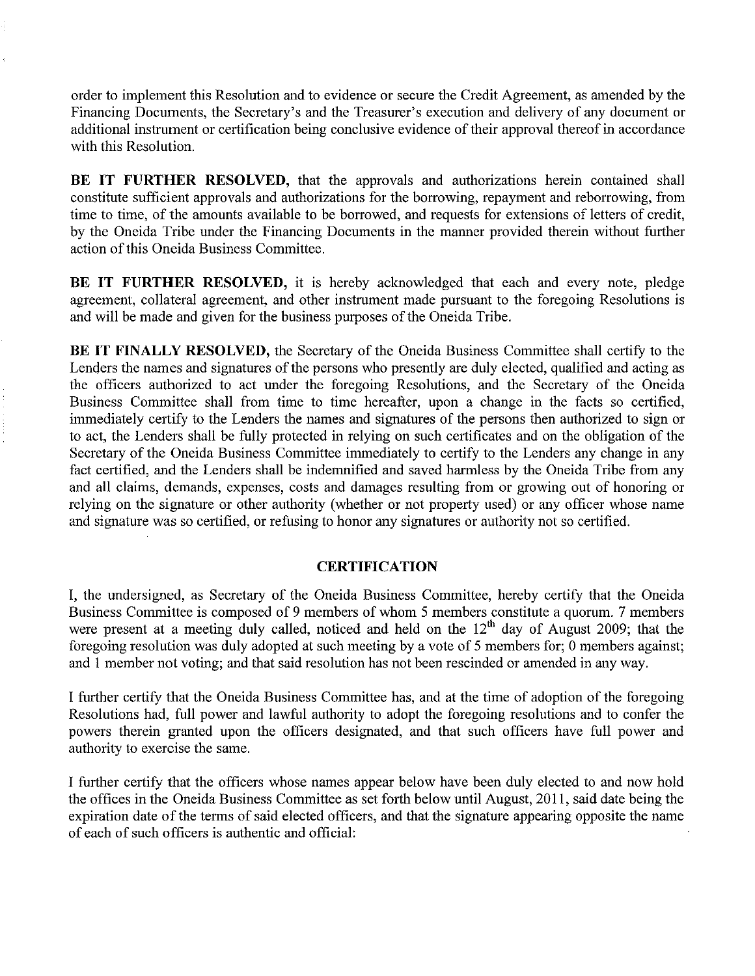order to implement this Resolution and to evidence or secure the Credit Agreement, as amended by the Financing Documents, the Secretary's and the Treasurer's execution and delivery of any document or additional instrument or certification being conclusive evidence of their approval thereof in accordance with this Resolution.

**BE IT FURTHER RESOLVED,** that the approvals and authorizations herein contained shall constitute sufficient approvals and authorizations for the borrowing, repayment and reborrowing, from time to time, of the amounts available to be borrowed, and requests for extensions of letters of credit, by the Oneida Tribe under the Financing Documents in the manner provided therein without further action of this Oneida Business Committee.

**BE IT FURTHER RESOLVED,** it is hereby acknowledged that each and every note, pledge agreement, collateral agreement, and other instrument made pursuant to the foregoing Resolutions is and will be made and given for the business purposes of the Oneida Tribe.

**BE IT FINALLY RESOLVED,** the Secretary of the Oneida Business Committee shall certify to the Lenders the names and signatures of the persons who presently are duly elected, qualified and acting as the officers authorized to act under the foregoing Resolutions, and the Secretary of the Oneida Business Committee shall from time to time hereafter, upon a change in the facts so certified, immediately certify to the Lenders the names and signatures of the persons then authorized to sign or to act, the Lenders shall be fully protected in relying on such certificates and on the obligation of the Secretary of the Oneida Business Committee immediately to certify to the Lenders any change in any fact certified, and the Lenders shall be indemnified and saved harmless by the Oneida Tribe from any and all claims, demands, expenses, costs and damages resulting from or growing out of honoring or relying on the signature or other authority (whether or not property used) or any officer whose name and signature was so certified, or refusing to honor any signatures or authority not so certified.

## **CERTIFICATION**

I, the undersigned, as Secretary of the Oneida Business Committee, hereby certify that the Oneida Business Committee is composed of 9 members of whom 5 members constitute a quorum. 7 members were present at a meeting duly called, noticed and held on the  $12<sup>th</sup>$  day of August 2009; that the foregoing resolution was duly adopted at such meeting by a vote of 5 members for; 0 members against; and 1 member not voting; and that said resolution has not been rescinded or amended in any way.

I further certify that the Oneida Business Committee has, and at the time of adoption of the foregoing Resolutions had, full power and lawful authority to adopt the foregoing resolutions and to confer the powers therein granted upon the officers designated, and that such officers have full power and authority to exercise the same.

I further certify that the officers whose names appear below have been duly elected to and now hold the offices in the Oneida Business Committee as set forth below until August, 2011, said date being the expiration date of the terms of said elected officers, and that the signature appearing opposite the name of each of such officers is authentic and official: